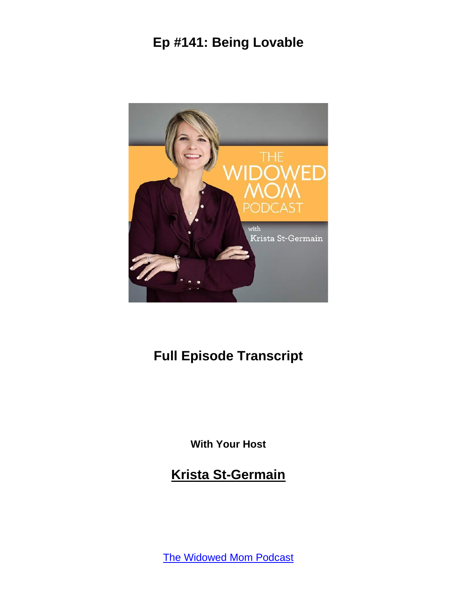

# **Full Episode Transcript**

**With Your Host**

**Krista St-Germain**

[The Widowed Mom Podcast](https://coachingwithkrista.com/podcast)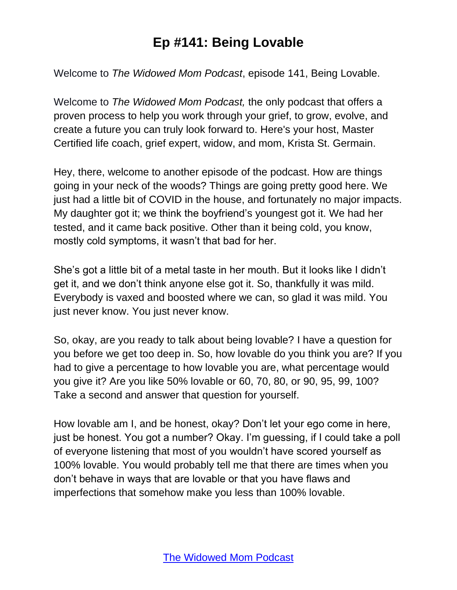Welcome to *The Widowed Mom Podcast*, episode 141, Being Lovable.

Welcome to *The Widowed Mom Podcast,* the only podcast that offers a proven process to help you work through your grief, to grow, evolve, and create a future you can truly look forward to. Here's your host, Master Certified life coach, grief expert, widow, and mom, Krista St. Germain.

Hey, there, welcome to another episode of the podcast. How are things going in your neck of the woods? Things are going pretty good here. We just had a little bit of COVID in the house, and fortunately no major impacts. My daughter got it; we think the boyfriend's youngest got it. We had her tested, and it came back positive. Other than it being cold, you know, mostly cold symptoms, it wasn't that bad for her.

She's got a little bit of a metal taste in her mouth. But it looks like I didn't get it, and we don't think anyone else got it. So, thankfully it was mild. Everybody is vaxed and boosted where we can, so glad it was mild. You just never know. You just never know.

So, okay, are you ready to talk about being lovable? I have a question for you before we get too deep in. So, how lovable do you think you are? If you had to give a percentage to how lovable you are, what percentage would you give it? Are you like 50% lovable or 60, 70, 80, or 90, 95, 99, 100? Take a second and answer that question for yourself.

How lovable am I, and be honest, okay? Don't let your ego come in here, just be honest. You got a number? Okay. I'm guessing, if I could take a poll of everyone listening that most of you wouldn't have scored yourself as 100% lovable. You would probably tell me that there are times when you don't behave in ways that are lovable or that you have flaws and imperfections that somehow make you less than 100% lovable.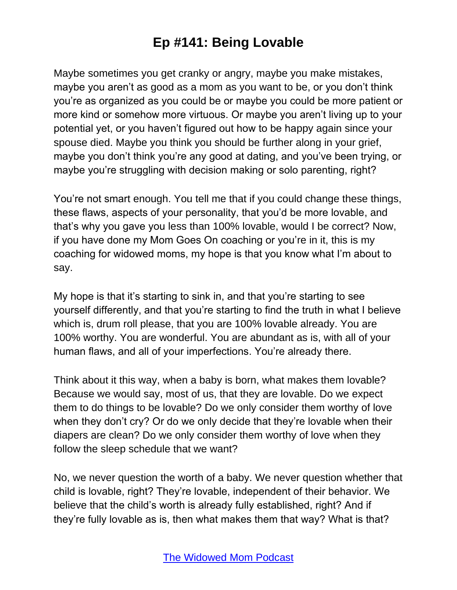Maybe sometimes you get cranky or angry, maybe you make mistakes, maybe you aren't as good as a mom as you want to be, or you don't think you're as organized as you could be or maybe you could be more patient or more kind or somehow more virtuous. Or maybe you aren't living up to your potential yet, or you haven't figured out how to be happy again since your spouse died. Maybe you think you should be further along in your grief, maybe you don't think you're any good at dating, and you've been trying, or maybe you're struggling with decision making or solo parenting, right?

You're not smart enough. You tell me that if you could change these things, these flaws, aspects of your personality, that you'd be more lovable, and that's why you gave you less than 100% lovable, would I be correct? Now, if you have done my Mom Goes On coaching or you're in it, this is my coaching for widowed moms, my hope is that you know what I'm about to say.

My hope is that it's starting to sink in, and that you're starting to see yourself differently, and that you're starting to find the truth in what I believe which is, drum roll please, that you are 100% lovable already. You are 100% worthy. You are wonderful. You are abundant as is, with all of your human flaws, and all of your imperfections. You're already there.

Think about it this way, when a baby is born, what makes them lovable? Because we would say, most of us, that they are lovable. Do we expect them to do things to be lovable? Do we only consider them worthy of love when they don't cry? Or do we only decide that they're lovable when their diapers are clean? Do we only consider them worthy of love when they follow the sleep schedule that we want?

No, we never question the worth of a baby. We never question whether that child is lovable, right? They're lovable, independent of their behavior. We believe that the child's worth is already fully established, right? And if they're fully lovable as is, then what makes them that way? What is that?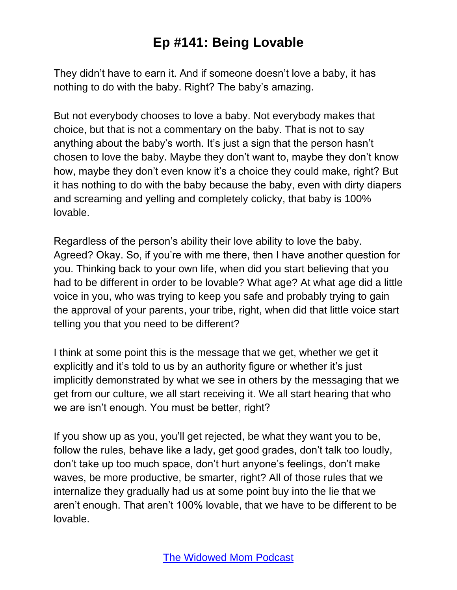They didn't have to earn it. And if someone doesn't love a baby, it has nothing to do with the baby. Right? The baby's amazing.

But not everybody chooses to love a baby. Not everybody makes that choice, but that is not a commentary on the baby. That is not to say anything about the baby's worth. It's just a sign that the person hasn't chosen to love the baby. Maybe they don't want to, maybe they don't know how, maybe they don't even know it's a choice they could make, right? But it has nothing to do with the baby because the baby, even with dirty diapers and screaming and yelling and completely colicky, that baby is 100% lovable.

Regardless of the person's ability their love ability to love the baby. Agreed? Okay. So, if you're with me there, then I have another question for you. Thinking back to your own life, when did you start believing that you had to be different in order to be lovable? What age? At what age did a little voice in you, who was trying to keep you safe and probably trying to gain the approval of your parents, your tribe, right, when did that little voice start telling you that you need to be different?

I think at some point this is the message that we get, whether we get it explicitly and it's told to us by an authority figure or whether it's just implicitly demonstrated by what we see in others by the messaging that we get from our culture, we all start receiving it. We all start hearing that who we are isn't enough. You must be better, right?

If you show up as you, you'll get rejected, be what they want you to be, follow the rules, behave like a lady, get good grades, don't talk too loudly, don't take up too much space, don't hurt anyone's feelings, don't make waves, be more productive, be smarter, right? All of those rules that we internalize they gradually had us at some point buy into the lie that we aren't enough. That aren't 100% lovable, that we have to be different to be lovable.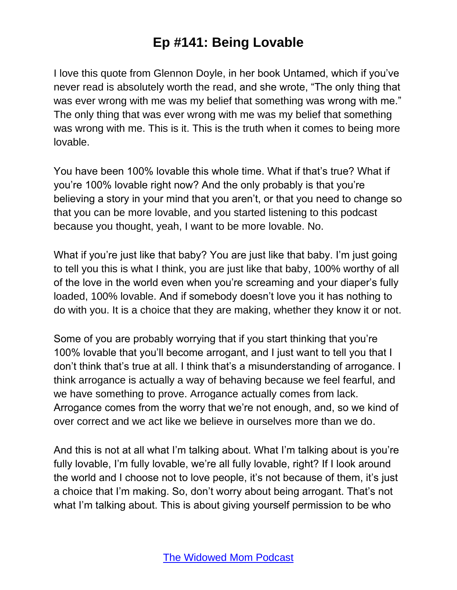I love this quote from Glennon Doyle, in her book Untamed, which if you've never read is absolutely worth the read, and she wrote, "The only thing that was ever wrong with me was my belief that something was wrong with me." The only thing that was ever wrong with me was my belief that something was wrong with me. This is it. This is the truth when it comes to being more lovable.

You have been 100% lovable this whole time. What if that's true? What if you're 100% lovable right now? And the only probably is that you're believing a story in your mind that you aren't, or that you need to change so that you can be more lovable, and you started listening to this podcast because you thought, yeah, I want to be more lovable. No.

What if you're just like that baby? You are just like that baby. I'm just going to tell you this is what I think, you are just like that baby, 100% worthy of all of the love in the world even when you're screaming and your diaper's fully loaded, 100% lovable. And if somebody doesn't love you it has nothing to do with you. It is a choice that they are making, whether they know it or not.

Some of you are probably worrying that if you start thinking that you're 100% lovable that you'll become arrogant, and I just want to tell you that I don't think that's true at all. I think that's a misunderstanding of arrogance. I think arrogance is actually a way of behaving because we feel fearful, and we have something to prove. Arrogance actually comes from lack. Arrogance comes from the worry that we're not enough, and, so we kind of over correct and we act like we believe in ourselves more than we do.

And this is not at all what I'm talking about. What I'm talking about is you're fully lovable, I'm fully lovable, we're all fully lovable, right? If I look around the world and I choose not to love people, it's not because of them, it's just a choice that I'm making. So, don't worry about being arrogant. That's not what I'm talking about. This is about giving yourself permission to be who